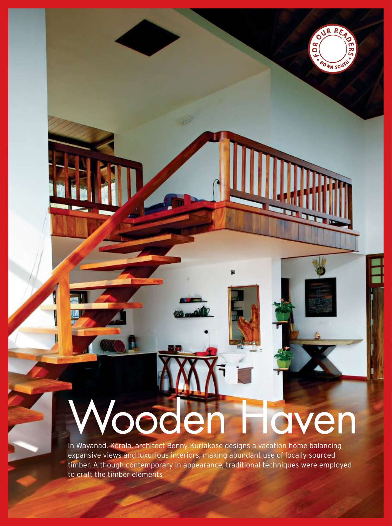## Wooden Haven

OURRE

OOWN SOUTH

FOR

In Wayanad, Kerala, architect Benny Kuriakose designs a vacation home balancing expansive views and luxurious interiors, making abundant use of locally sourced timber. Although contemporary in appearance, traditional techniques were employed to craft the timber elements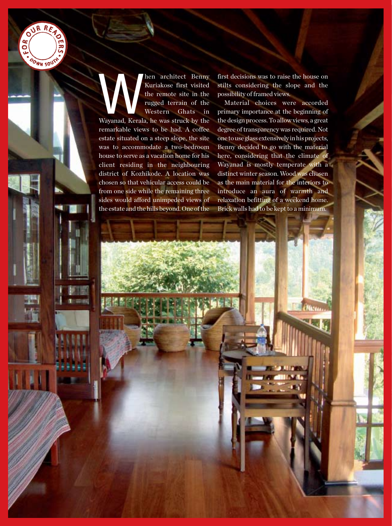

Maxweller Chenny<br>
Kuriakose first visited<br>
the remote site in the<br>
rugged terrain of the<br>
Western Ghats in<br>
Wayanad, Kerala, he was struck by the Kuriakose first visited the remote site in the rugged terrain of the Western Ghats in remarkable views to be had. A coffee estate situated on a steep slope, the site was to accommodate a two-bedroom house to serve as a vacation home for his client residing in the neighbouring district of Kozhikode. A location was chosen so that vehicular access could be from one side while the remaining three sides would afford unimpeded views of the estate and the hills beyond. One of the

first decisions was to raise the house on stilts considering the slope and the possibility of framed views.

Material choices were accorded primary importance at the beginning of the design process. To allow views, a great degree of transparency was required. Not one to use glass extensively in his projects, Benny decided to go with the material here, considering that the climate of Wayanad is mostly temperate with a distinct winter season. Wood was chosen as the main material for the interiors to introduce an aura of warmth and relaxation befitting of a weekend home. Brick walls had to be kept to a minimum.

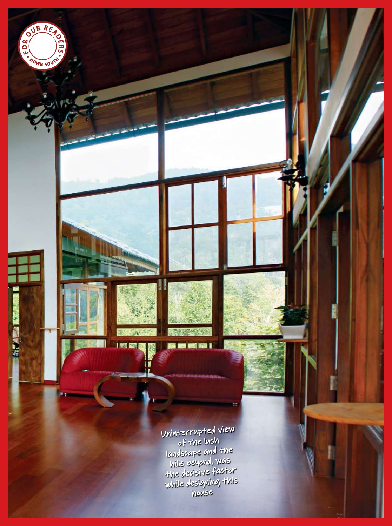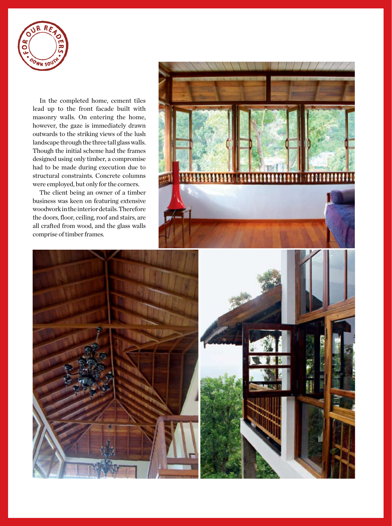

In the completed home, cement tiles lead up to the front facade built with masonry walls. On entering the home, however, the gaze is immediately drawn outwards to the striking views of the lush landscape through the three tall glass walls. Though the initial scheme had the frames designed using only timber, a compromise had to be made during execution due to structural constraints. Concrete columns were employed, but only for the corners.

The client being an owner of a timber business was keen on featuring extensive woodwork in the interior details. Therefore the doors, floor, ceiling, roof and stairs, are all crafted from wood, and the glass walls comprise of timber frames.